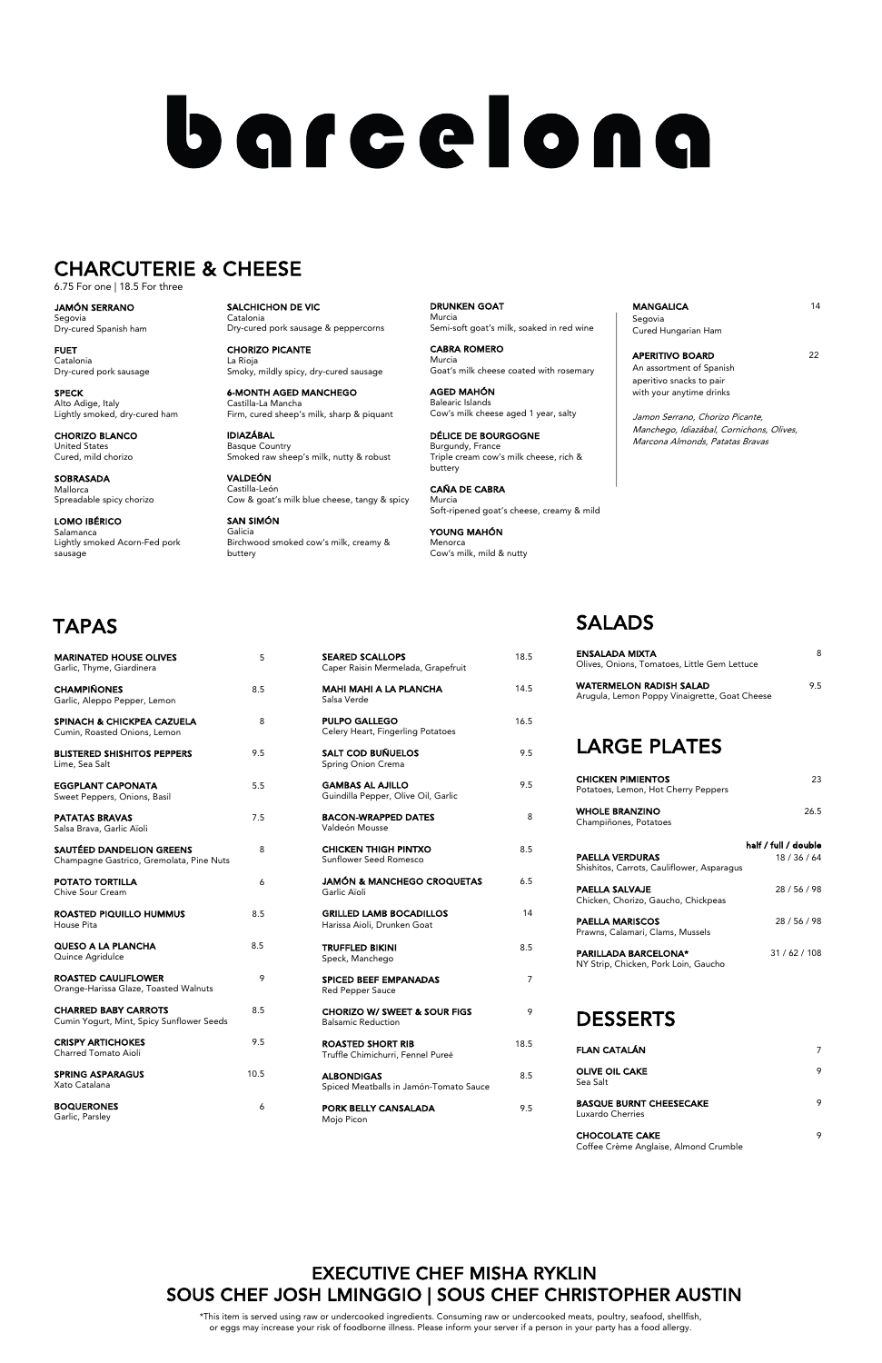| <b>SEARED SCALLOPS</b><br>Caper Raisin Mermelada, Grapefruit   | 18.5 |
|----------------------------------------------------------------|------|
| <b>MAHI MAHI A LA PLANCHA</b><br>Salsa Verde                   | 14.5 |
| <b>PULPO GALLEGO</b><br>Celery Heart, Fingerling Potatoes      | 16.5 |
| <b>SALT COD BUÑUELOS</b><br>Spring Onion Crema                 | 9.5  |
| <b>GAMBAS AL AJILLO</b><br>Guindilla Pepper, Olive Oil, Garlic | 9.5  |
| <b>BACON-WRAPPED DATES</b><br>Valdeón Mousse                   | 8    |
| <b>CHICKEN THIGH PINTXO</b><br>Sunflower Seed Romesco          | 8.5  |
| JAMÓN & MANCHEGO CROQUETAS<br>Garlic Aïoli                     | 6.5  |
| <b>GRILLED LAMB BOCADILLOS</b><br>Harissa Aioli, Drunken Goat  | 14   |
| <b>TRUFFLED BIKINI</b><br>Speck, Manchego                      | 8.5  |
| <b>SPICED BEEF EMPANADAS</b><br><b>Red Pepper Sauce</b>        | 7    |

CHORIZO W/ SWEET & SOUR FIGS 9 Balsamic Reduction

ROASTED SHORT RIB 18.5 Truffle Chimichurri, Fennel Pureé

ALBONDIGAS 8.5 Spiced Meatballs in Jamón-Tomato Sauce

PORK BELLY CANSALADA 9.5 Mojo Picon

> CHOCOLATE CAKE 9 Coffee Crème Anglaise, Almond Crumble

| <b>CHARRED BABY CARROTS</b><br>Cumin Yogurt, Mint, Spicy Sunflower Seeds | 85   |
|--------------------------------------------------------------------------|------|
| <b>CRISPY ARTICHOKES</b><br>Charred Tomato Aioli                         | 9.5  |
| SPRING ASPARAGUS<br>Xato Catalana                                        | 10.5 |
| <b>BOQUERONES</b><br>Garlic, Parsley                                     |      |

# SALADS

MANGALICA 14 Segovia Cured Hungarian Ham

APERITIVO BOARD 22 An assortment of Spanish aperitivo snacks to pair with your anytime drinks

| 8<br>Olives, Onions, Tomatoes, Little Gem Lettuce                                  |
|------------------------------------------------------------------------------------|
| 9.5<br>Arugula, Lemon Poppy Vinaigrette, Goat Cheese                               |
|                                                                                    |
| 23                                                                                 |
| 26.5                                                                               |
|                                                                                    |
| half / full / double<br>18 / 36 / 64<br>Shishitos, Carrots, Cauliflower, Asparagus |
| 28 / 56 / 98                                                                       |
| 28 / 56 / 98                                                                       |
| 31/62/108                                                                          |
|                                                                                    |

#### DESSERTS

| <b>FLAN CATALÁN</b>                                |   |
|----------------------------------------------------|---|
| <b>OLIVE OIL CAKE</b><br>Sea Salt                  | 9 |
| <b>BASQUE BURNT CHEESECAKE</b><br>Luxardo Cherries | Q |

SALCHICHON DE VIC Catalonia Dry-cured pork sausage & peppercorns

CHORIZO PICANTE La Rioja Smoky, mildly spicy, dry-cured sausage

| <b>MARINATED HOUSE OLIVES</b><br>Garlic, Thyme, Giardinera            | 5   |
|-----------------------------------------------------------------------|-----|
| <b>CHAMPIÑONES</b><br>Garlic, Aleppo Pepper, Lemon                    | 8.5 |
| <b>SPINACH &amp; CHICKPEA CAZUELA</b><br>Cumin, Roasted Onions, Lemon | 8   |
| <b>BLISTERED SHISHITOS PEPPERS</b><br>Lime, Sea Salt                  | 9.5 |
| <b>EGGPLANT CAPONATA</b><br>Sweet Peppers, Onions, Basil              | 5.5 |
| <b>PATATAS BRAVAS</b><br>Salsa Brava, Garlic Aïoli                    | 7.5 |
| SAUTÉED DANDELION GREENS<br>Champagne Gastrico, Gremolata, Pine Nuts  | 8   |
| <b>POTATO TORTILLA</b><br>Chive Sour Cream                            | 6   |
| ROASTED PIQUILLO HUMMUS<br>House Pita                                 | 8.5 |
| QUESO A LA PLANCHA<br>Quince Agridulce                                | 8.5 |
| ROASTED CAULIFLOWER<br>Orange-Harissa Glaze, Toasted Walnuts          | 9   |

6-MONTH AGED MANCHEGO Castilla-La Mancha Firm, cured sheep's milk, sharp & piquant

IDIAZÁBAL Basque Country Smoked raw sheep's milk, nutty & robust

VALDEÓN Castilla-León Cow & goat's milk blue cheese, tangy & spicy

SAN SIMÓN Galicia Birchwood smoked cow's milk, creamy & buttery

DRUNKEN GOAT Murcia Semi-soft goat's milk, soaked in red wine

CABRA ROMERO Murcia Goat's milk cheese coated with rosemary

AGED MAHÓN Balearic Islands Cow's milk cheese aged 1 year, salty

DÉLICE DE BOURGOGNE Burgundy, France Triple cream cow's milk cheese, rich & buttery

CAÑA DE CABRA Murcia Soft-ripened goat's cheese, creamy & mild

YOUNG MAHÓN Menorca Cow's milk, mild & nutty Jamon Serrano, Chorizo Picante, Manchego, Idiazábal, Cornichons, Olives, Marcona Almonds, Patatas Bravas

JAMÓN SERRANO Segovia Dry-cured Spanish ham

FUET Catalonia Dry-cured pork sausage

SPECK Alto Adige, Italy Lightly smoked, dry-cured ham

CHORIZO BLANCO United States Cured, mild chorizo

SOBRASADA Mallorca Spreadable spicy chorizo

LOMO IBÉRICO Salamanca Lightly smoked Acorn-Fed pork sausage

# barcelona

#### CHARCUTERIE & CHEESE

6.75 For one | 18.5 For three

#### EXECUTIVE CHEF MISHA RYKLIN SOUS CHEF JOSH LMINGGIO | SOUS CHEF CHRISTOPHER AUSTIN

\*This item is served using raw or undercooked ingredients. Consuming raw or undercooked meats, poultry, seafood, shellfish, or eggs may increase your risk of foodborne illness. Please inform your server if a person in your party has a food allergy.

# TAPAS